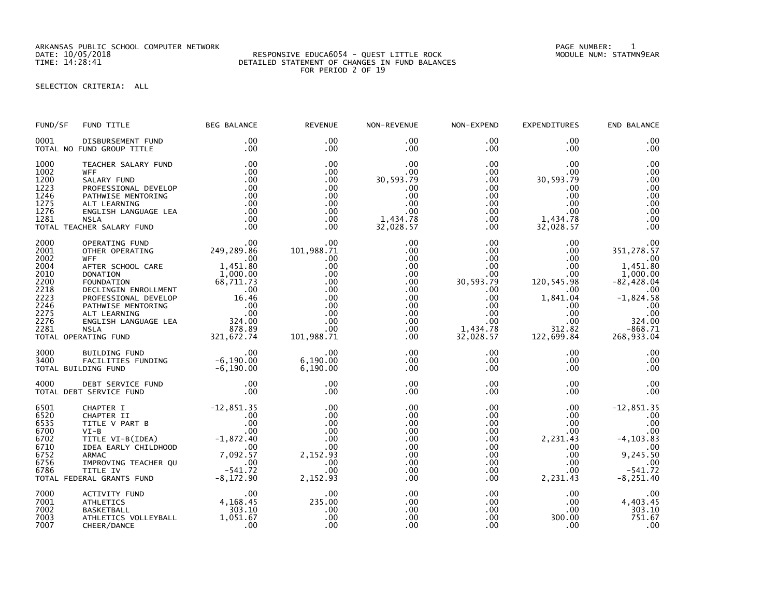ARKANSAS PUBLIC SCHOOL COMPUTER NETWORK PAGE NUMBER: 1

## SELECTION CRITERIA: ALL

| FUND/SF                                                              | FUND TITLE                                                                                                                                                                                                                                                                                               | BEG BALANCE                                                  | <b>REVENUE</b>                                                                                        | NON-REVENUE                                                                                                                                  | NON-EXPEND                                                                                                                                                            | <b>EXPENDITURES</b>                                                                                                                                   | END BALANCE                                                                                                                               |
|----------------------------------------------------------------------|----------------------------------------------------------------------------------------------------------------------------------------------------------------------------------------------------------------------------------------------------------------------------------------------------------|--------------------------------------------------------------|-------------------------------------------------------------------------------------------------------|----------------------------------------------------------------------------------------------------------------------------------------------|-----------------------------------------------------------------------------------------------------------------------------------------------------------------------|-------------------------------------------------------------------------------------------------------------------------------------------------------|-------------------------------------------------------------------------------------------------------------------------------------------|
| 0001                                                                 | DISBURSEMENT FUND<br>TOTAL NO FUND GROUP TITLE                                                                                                                                                                                                                                                           | .00<br>.00                                                   | .00<br>.00                                                                                            | $.00 \,$<br>.00                                                                                                                              | $.00 \,$<br>$.00 \,$                                                                                                                                                  | .00<br>.00                                                                                                                                            | .00<br>.00                                                                                                                                |
| 1000<br>1002<br>1200<br>1223<br>1246<br>1275<br>1276<br>1281         | TEACHER SALARY FUND<br>SALARY FUND<br>PROFESSIONAL DEVELOP<br>PATHWISE MENTORING<br>ALT LEARNING<br>SLA SLA ANGUAGE LEA<br>SLA ER SALARY FUND<br>ERATING FUND<br>ERATING FUND<br>TOTAL TEACHER SALARY FUND                                                                                               | .00<br>.00<br>.00<br>.00<br>.00<br>.00<br>.00<br>.00<br>.00  | .00<br>.00<br>.00<br>.00<br>.00<br>.00<br>.00<br>.00<br>.00                                           | .00<br>.00<br>30,593.79<br>.00<br>.00<br>.00<br>.00<br>1,434.78<br>32,028.57                                                                 | $.00\,$<br>.00<br>$.00\,$<br>.00 <sub>1</sub><br>$.00\,$<br>.00<br>$.00\,$<br>.00<br>.00                                                                              | .00<br>$.00 \,$<br>30,593.79<br>.00.<br>.00<br>.00<br>.00<br>1,434.78<br>32,028.57                                                                    | .00<br>.00<br>.00<br>.00<br>.00<br>.00<br>.00<br>.00<br>.00                                                                               |
| 2000<br>2001<br>2002<br>2004                                         | OTHER OPERATING<br><b>WFF</b><br>AFTER SCHOOL CARE<br>2010 DONATION<br>2010 DONATION<br>2010 DONATION<br>2200 FOUNDATION<br>2218 DECLINGIN ENROLLMENT<br>2223 PROFESSIONAL DEVELOP<br>22246 PATHWISE MENTORING<br>2275 ALT LEARNING .00<br>2276 ENGLISH LANGUAGE LEA 324.00<br>2281 NSLA 878.89<br>TOTAL | 00 .<br>249 , 289 . 86 .<br>00<br>.00<br>1,451.80            | .00<br>101,988.71<br>.00<br>.00<br>.00<br>.00<br>.00<br>.00<br>.00<br>.00<br>.00<br>.00<br>101,988.71 | .00<br>.00<br>$.00 \,$<br>$.00 \,$<br>.00<br>$.00 \,$<br>$.00 \,$<br>.00 <sub>1</sub><br>.00<br>$.00 \,$<br>$.00 \,$<br>$.00 \,$<br>$.00 \,$ | $.00 \,$<br>$.00\,$<br>$.00\,$<br>.00 <sub>1</sub><br>$.00\,$<br>30,593.79<br>$.00 \,$<br>$.00 \,$<br>.00 <sub>1</sub><br>$.00\,$<br>$.00\,$<br>1,434.78<br>32,028.57 | $.00 \,$<br>$.00 \,$<br>$.00 \,$<br>$.00 \,$<br>$.00 \,$<br>120,545.98<br>.00<br>1,841.04<br>$.00 \,$<br>$.00 \,$<br>$.00 \,$<br>312.82<br>122,699.84 | .00<br>351,278.57<br>.00<br>1,451.80<br>1,000.00<br>$-82,428.04$<br>.00<br>$-1,824.58$<br>.00<br>.00<br>324.00<br>$-868.71$<br>268,933.04 |
| 3000<br>3400                                                         | 00. 8UILDING FUND<br>FACILITIES FUNDING -6,190.00<br>DING FUND -6,190.00<br>TOTAL BUILDING FUND                                                                                                                                                                                                          | .00                                                          | .00<br>6,190.00<br>6,190.00                                                                           | .00<br>$.00 \,$<br>.00                                                                                                                       | $.00 \cdot$<br>.00<br>$.00 \,$                                                                                                                                        | $.00 \,$<br>.00<br>.00                                                                                                                                | .00<br>.00<br>.00                                                                                                                         |
| 4000                                                                 | TOTAL DEBT SERVICE FUND                                                                                                                                                                                                                                                                                  |                                                              | .00<br>.00                                                                                            | .00<br>.00                                                                                                                                   | $.00 \,$<br>$.00 \,$                                                                                                                                                  | $.00 \,$<br>.00                                                                                                                                       | .00<br>.00                                                                                                                                |
| 6501<br>6520<br>6535<br>6700<br>6702<br>6710<br>6752<br>6756<br>6786 | CHAPTER I -12,851.35<br>CHAPTER I -12,851.35<br>CHAPTER II .00<br>TITLE V PART B .00<br>VI-B .00<br>VI-B .00<br>VITLE VI-B(IDEA) -1,872.40<br>IDEA EARLY CHILDHOOD .00<br>ARMAC 7,092.57<br>IMPROVING TEACHER QU .00<br>TITLE IV -541.72<br>ERAL GRA<br>TOTAL FEDERAL GRANTS FUND                        |                                                              | .00<br>.00<br>.00<br>.00<br>.00<br>.00<br>2,152.93<br>.00<br>.00<br>2,152.93                          | .00<br>.00<br>.00<br>.00<br>.00<br>.00<br>.00<br>.00<br>.00<br>.00                                                                           | $.00 \,$<br>.00 <sub>1</sub><br>$.00 \,$<br>$.00 \,$<br>.00 <sub>1</sub><br>$.00 \cdot$<br>$.00\,$<br>$.00\,$<br>$.00\,$<br>.00                                       | $.00 \,$<br>$.00 \,$<br>$.00 \,$<br>$.00 \,$<br>2,231.43<br>$.00 \,$<br>$.00 \,$<br>$.00 \,$<br>.00.<br>2,231.43                                      | $-12,851.35$<br>.00<br>.00<br>.00<br>$-4, 103.83$<br>.00<br>9,245.50<br>.00<br>$-541.72$<br>$-8, 251.40$                                  |
| 7000<br>7001<br>7002<br>7003<br>7007                                 | ACTIVITY FUND<br><b>ATHLETICS</b><br><b>BASKETBALL</b><br>ATHLETICS VOLLEYBALL<br>CHEER/DANCE                                                                                                                                                                                                            | $.00$<br>4, 168.45<br>$\overline{303.10}$<br>1,051.67<br>.00 | .00<br>235.00<br>.00<br>.00<br>.00                                                                    | .00<br>.00<br>.00<br>.00<br>.00                                                                                                              | .00<br>$.00\,$<br>.00<br>$.00 \,$<br>.00                                                                                                                              | $.00 \,$<br>$.00 \,$<br>$.00 \,$<br>300.00<br>.00                                                                                                     | .00<br>4,403.45<br>303.10<br>751.67<br>.00                                                                                                |